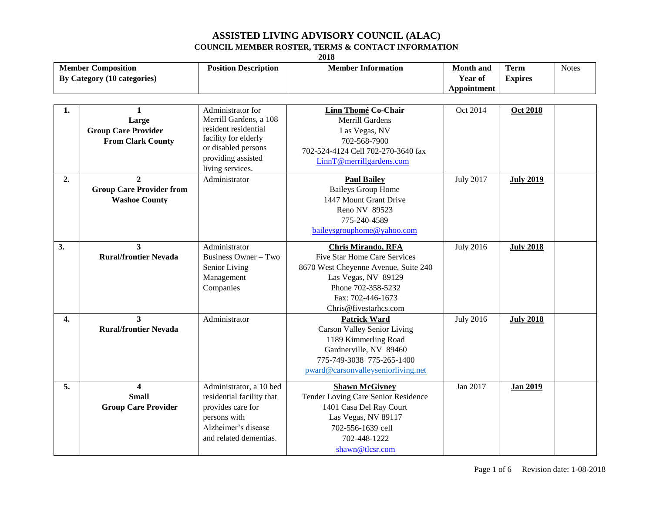| <b>Member Composition</b><br>By Category (10 categories) |                                                                                 | <b>Position Description</b>                                                                                                                                  | <b>Member Information</b>                                                                                                                                                                           | <b>Month</b> and<br>Year of<br>Appointment | <b>Term</b><br><b>Expires</b> | <b>Notes</b> |
|----------------------------------------------------------|---------------------------------------------------------------------------------|--------------------------------------------------------------------------------------------------------------------------------------------------------------|-----------------------------------------------------------------------------------------------------------------------------------------------------------------------------------------------------|--------------------------------------------|-------------------------------|--------------|
|                                                          |                                                                                 |                                                                                                                                                              |                                                                                                                                                                                                     |                                            |                               |              |
| 1.                                                       | $\mathbf{1}$<br>Large<br><b>Group Care Provider</b><br><b>From Clark County</b> | Administrator for<br>Merrill Gardens, a 108<br>resident residential<br>facility for elderly<br>or disabled persons<br>providing assisted<br>living services. | <b>Linn Thomé Co-Chair</b><br><b>Merrill Gardens</b><br>Las Vegas, NV<br>702-568-7900<br>702-524-4124 Cell 702-270-3640 fax<br>LinnT@merrillgardens.com                                             | Oct 2014                                   | <b>Oct 2018</b>               |              |
| 2.                                                       | $\mathbf{2}$<br><b>Group Care Provider from</b><br><b>Washoe County</b>         | Administrator                                                                                                                                                | <b>Paul Bailey</b><br><b>Baileys Group Home</b><br>1447 Mount Grant Drive<br>Reno NV 89523<br>775-240-4589<br>baileysgrouphome@yahoo.com                                                            | <b>July 2017</b>                           | <b>July 2019</b>              |              |
| 3.                                                       | 3<br><b>Rural/frontier Nevada</b>                                               | Administrator<br>Business Owner - Two<br>Senior Living<br>Management<br>Companies                                                                            | <b>Chris Mirando, RFA</b><br><b>Five Star Home Care Services</b><br>8670 West Cheyenne Avenue, Suite 240<br>Las Vegas, NV 89129<br>Phone 702-358-5232<br>Fax: 702-446-1673<br>Chris@fivestarhcs.com | <b>July 2016</b>                           | <b>July 2018</b>              |              |
| 4.                                                       | 3<br><b>Rural/frontier Nevada</b>                                               | Administrator                                                                                                                                                | <b>Patrick Ward</b><br><b>Carson Valley Senior Living</b><br>1189 Kimmerling Road<br>Gardnerville, NV 89460<br>775-749-3038 775-265-1400<br>pward@carsonvalleyseniorliving.net                      | <b>July 2016</b>                           | <b>July 2018</b>              |              |
| 5.                                                       | $\overline{\mathbf{4}}$<br><b>Small</b><br><b>Group Care Provider</b>           | Administrator, a 10 bed<br>residential facility that<br>provides care for<br>persons with<br>Alzheimer's disease<br>and related dementias.                   | <b>Shawn McGivney</b><br>Tender Loving Care Senior Residence<br>1401 Casa Del Ray Court<br>Las Vegas, NV 89117<br>702-556-1639 cell<br>702-448-1222<br>shawn@tlcsr.com                              | Jan 2017                                   | <b>Jan 2019</b>               |              |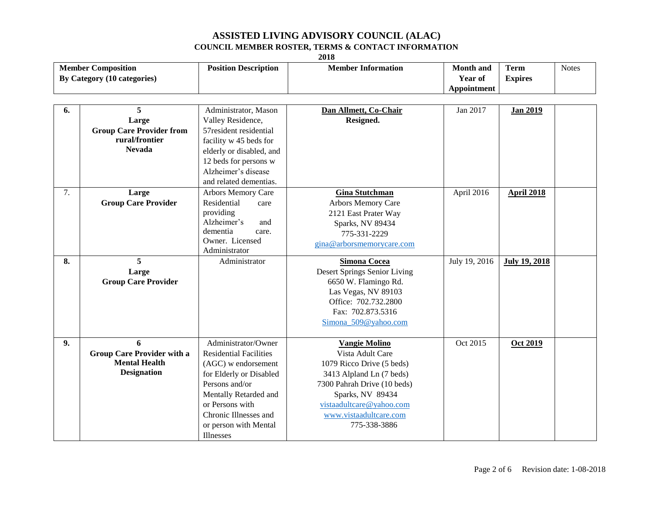|                                                          | 2018                                                                                 |                                                                                                                                                                                                                                     |                                                                                                                                                                                                                            |                                            |                               |              |  |
|----------------------------------------------------------|--------------------------------------------------------------------------------------|-------------------------------------------------------------------------------------------------------------------------------------------------------------------------------------------------------------------------------------|----------------------------------------------------------------------------------------------------------------------------------------------------------------------------------------------------------------------------|--------------------------------------------|-------------------------------|--------------|--|
| <b>Member Composition</b><br>By Category (10 categories) |                                                                                      | <b>Position Description</b>                                                                                                                                                                                                         | <b>Member Information</b>                                                                                                                                                                                                  | <b>Month</b> and<br>Year of<br>Appointment | <b>Term</b><br><b>Expires</b> | <b>Notes</b> |  |
| 6.                                                       | 5<br>Large<br><b>Group Care Provider from</b><br>rural/frontier<br><b>Nevada</b>     | Administrator, Mason<br>Valley Residence,<br>57resident residential<br>facility w 45 beds for<br>elderly or disabled, and<br>12 beds for persons w<br>Alzheimer's disease<br>and related dementias.                                 | Dan Allmett, Co-Chair<br>Resigned.                                                                                                                                                                                         | Jan 2017                                   | <b>Jan 2019</b>               |              |  |
| 7.                                                       | Large<br><b>Group Care Provider</b>                                                  | Arbors Memory Care<br>Residential<br>care<br>providing<br>Alzheimer's<br>and<br>dementia<br>care.<br>Owner. Licensed<br>Administrator                                                                                               | <b>Gina Stutchman</b><br>Arbors Memory Care<br>2121 East Prater Way<br>Sparks, NV 89434<br>775-331-2229<br>gina@arborsmemorycare.com                                                                                       | April 2016                                 | <b>April 2018</b>             |              |  |
| 8.                                                       | 5<br>Large<br><b>Group Care Provider</b>                                             | Administrator                                                                                                                                                                                                                       | <b>Simona Cocea</b><br>Desert Springs Senior Living<br>6650 W. Flamingo Rd.<br>Las Vegas, NV 89103<br>Office: 702.732.2800<br>Fax: 702.873.5316<br>Simona_509@yahoo.com                                                    | July 19, 2016                              | <b>July 19, 2018</b>          |              |  |
| 9.                                                       | 6<br><b>Group Care Provider with a</b><br><b>Mental Health</b><br><b>Designation</b> | Administrator/Owner<br><b>Residential Facilities</b><br>(AGC) w endorsement<br>for Elderly or Disabled<br>Persons and/or<br>Mentally Retarded and<br>or Persons with<br>Chronic Illnesses and<br>or person with Mental<br>Illnesses | <b>Vangie Molino</b><br>Vista Adult Care<br>1079 Ricco Drive (5 beds)<br>3413 Alpland Ln (7 beds)<br>7300 Pahrah Drive (10 beds)<br>Sparks, NV 89434<br>vistaadultcare@yahoo.com<br>www.vistaadultcare.com<br>775-338-3886 | Oct 2015                                   | <b>Oct 2019</b>               |              |  |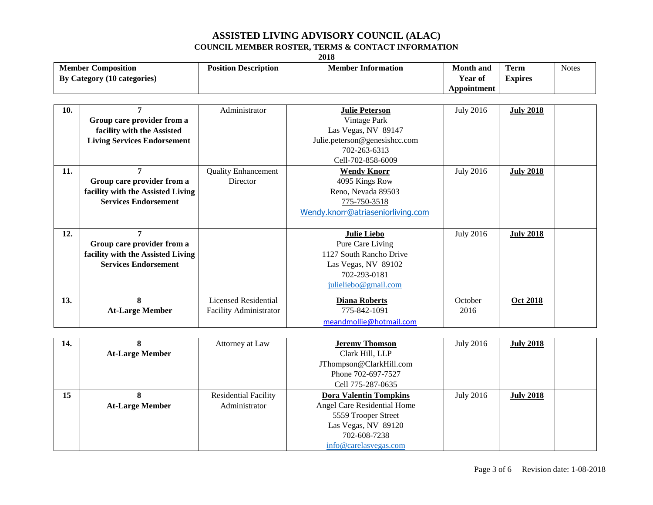|     | 2010                               |                             |                                   |                    |                  |              |  |  |
|-----|------------------------------------|-----------------------------|-----------------------------------|--------------------|------------------|--------------|--|--|
|     | <b>Member Composition</b>          | <b>Position Description</b> | <b>Member Information</b>         | Month and          | <b>Term</b>      | <b>Notes</b> |  |  |
|     | By Category (10 categories)        |                             |                                   | Year of            | <b>Expires</b>   |              |  |  |
|     |                                    |                             |                                   | <b>Appointment</b> |                  |              |  |  |
|     |                                    |                             |                                   |                    |                  |              |  |  |
| 10. | 7                                  | Administrator               | <b>Julie Peterson</b>             | <b>July 2016</b>   | <b>July 2018</b> |              |  |  |
|     | Group care provider from a         |                             | Vintage Park                      |                    |                  |              |  |  |
|     | facility with the Assisted         |                             | Las Vegas, NV 89147               |                    |                  |              |  |  |
|     | <b>Living Services Endorsement</b> |                             | Julie.peterson@genesishcc.com     |                    |                  |              |  |  |
|     |                                    |                             | 702-263-6313                      |                    |                  |              |  |  |
|     |                                    |                             | Cell-702-858-6009                 |                    |                  |              |  |  |
| 11. | 7                                  | <b>Quality Enhancement</b>  | <b>Wendy Knorr</b>                | <b>July 2016</b>   | <b>July 2018</b> |              |  |  |
|     | Group care provider from a         | Director                    | 4095 Kings Row                    |                    |                  |              |  |  |
|     | facility with the Assisted Living  |                             | Reno, Nevada 89503                |                    |                  |              |  |  |
|     | <b>Services Endorsement</b>        |                             | 775-750-3518                      |                    |                  |              |  |  |
|     |                                    |                             | Wendy.knorr@atriaseniorliving.com |                    |                  |              |  |  |
|     |                                    |                             |                                   |                    |                  |              |  |  |
| 12. | $\overline{7}$                     |                             | <b>Julie Liebo</b>                | <b>July 2016</b>   | <b>July 2018</b> |              |  |  |
|     | Group care provider from a         |                             | Pure Care Living                  |                    |                  |              |  |  |
|     | facility with the Assisted Living  |                             | 1127 South Rancho Drive           |                    |                  |              |  |  |
|     | <b>Services Endorsement</b>        |                             | Las Vegas, NV 89102               |                    |                  |              |  |  |
|     |                                    |                             | 702-293-0181                      |                    |                  |              |  |  |
|     |                                    |                             | julieliebo@gmail.com              |                    |                  |              |  |  |
| 13. | 8                                  | <b>Licensed Residential</b> | <b>Diana Roberts</b>              | October            | <b>Oct 2018</b>  |              |  |  |
|     | <b>At-Large Member</b>             | Facility Administrator      | 775-842-1091                      | 2016               |                  |              |  |  |
|     |                                    |                             | meandmollie@hotmail.com           |                    |                  |              |  |  |

| 14. |                        | Attorney at Law             | <b>Jeremy Thomson</b>         | <b>July 2016</b> | <b>July 2018</b> |  |
|-----|------------------------|-----------------------------|-------------------------------|------------------|------------------|--|
|     | <b>At-Large Member</b> |                             | Clark Hill, LLP               |                  |                  |  |
|     |                        |                             | JThompson@ClarkHill.com       |                  |                  |  |
|     |                        |                             | Phone 702-697-7527            |                  |                  |  |
|     |                        |                             | Cell 775-287-0635             |                  |                  |  |
| 15  |                        | <b>Residential Facility</b> | <b>Dora Valentin Tompkins</b> | <b>July 2016</b> | <b>July 2018</b> |  |
|     | <b>At-Large Member</b> | Administrator               | Angel Care Residential Home   |                  |                  |  |
|     |                        |                             | 5559 Trooper Street           |                  |                  |  |
|     |                        |                             | Las Vegas, NV 89120           |                  |                  |  |
|     |                        |                             | 702-608-7238                  |                  |                  |  |
|     |                        |                             | info@carelasvegas.com         |                  |                  |  |

**2018**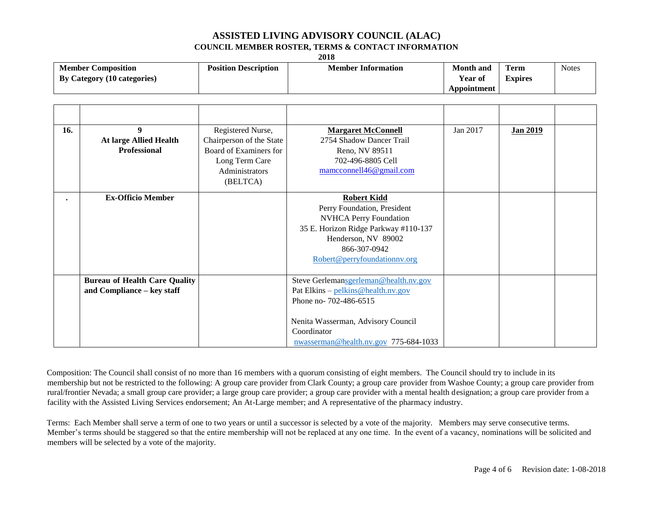|                                                          | 2018                                                               |                                                                                                                         |                                                                                                                                                                                                     |                                            |                               |              |  |  |
|----------------------------------------------------------|--------------------------------------------------------------------|-------------------------------------------------------------------------------------------------------------------------|-----------------------------------------------------------------------------------------------------------------------------------------------------------------------------------------------------|--------------------------------------------|-------------------------------|--------------|--|--|
| <b>Member Composition</b><br>By Category (10 categories) |                                                                    | <b>Position Description</b>                                                                                             | <b>Member Information</b>                                                                                                                                                                           | <b>Month</b> and<br>Year of<br>Appointment | <b>Term</b><br><b>Expires</b> | <b>Notes</b> |  |  |
|                                                          |                                                                    |                                                                                                                         |                                                                                                                                                                                                     |                                            |                               |              |  |  |
| 16.                                                      | 9<br><b>At large Allied Health</b><br><b>Professional</b>          | Registered Nurse,<br>Chairperson of the State<br>Board of Examiners for<br>Long Term Care<br>Administrators<br>(BELTCA) | <b>Margaret McConnell</b><br>2754 Shadow Dancer Trail<br>Reno, NV 89511<br>702-496-8805 Cell<br>mamcconnell46@gmail.com                                                                             | Jan 2017                                   | <b>Jan 2019</b>               |              |  |  |
|                                                          | <b>Ex-Officio Member</b>                                           |                                                                                                                         | <b>Robert Kidd</b><br>Perry Foundation, President<br>NVHCA Perry Foundation<br>35 E. Horizon Ridge Parkway #110-137<br>Henderson, NV 89002<br>866-307-0942<br>Robert@perryfoundationnv.org          |                                            |                               |              |  |  |
|                                                          | <b>Bureau of Health Care Quality</b><br>and Compliance - key staff |                                                                                                                         | Steve Gerlemansgerleman@health.nv.gov<br>Pat Elkins - pelkins@health.nv.gov<br>Phone no- 702-486-6515<br>Nenita Wasserman, Advisory Council<br>Coordinator<br>nwasserman@health.nv.gov 775-684-1033 |                                            |                               |              |  |  |

Composition: The Council shall consist of no more than 16 members with a quorum consisting of eight members. The Council should try to include in its membership but not be restricted to the following: A group care provider from Clark County; a group care provider from Washoe County; a group care provider from rural/frontier Nevada; a small group care provider; a large group care provider; a group care provider with a mental health designation; a group care provider from a facility with the Assisted Living Services endorsement; An At-Large member; and A representative of the pharmacy industry.

Terms: Each Member shall serve a term of one to two years or until a successor is selected by a vote of the majority. Members may serve consecutive terms. Member's terms should be staggered so that the entire membership will not be replaced at any one time. In the event of a vacancy, nominations will be solicited and members will be selected by a vote of the majority.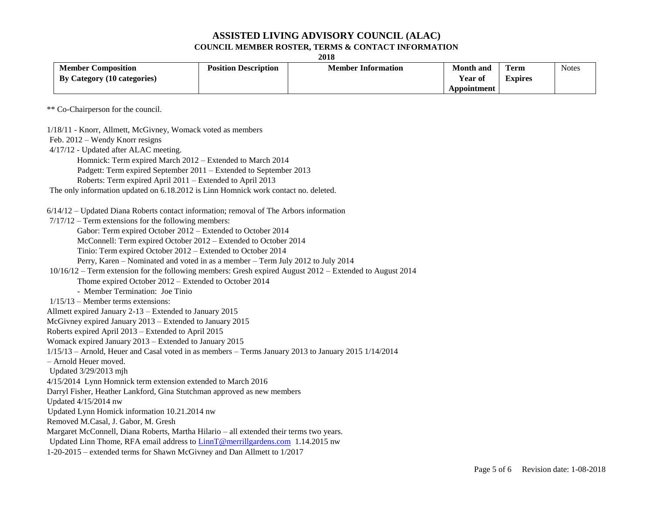|                                                                                                            | 2018                        |                           |                                            |                               |              |  |  |
|------------------------------------------------------------------------------------------------------------|-----------------------------|---------------------------|--------------------------------------------|-------------------------------|--------------|--|--|
| <b>Member Composition</b><br>By Category (10 categories)                                                   | <b>Position Description</b> | <b>Member Information</b> | <b>Month</b> and<br>Year of<br>Appointment | <b>Term</b><br><b>Expires</b> | <b>Notes</b> |  |  |
| ** Co-Chairperson for the council.                                                                         |                             |                           |                                            |                               |              |  |  |
| 1/18/11 - Knorr, Allmett, McGivney, Womack voted as members                                                |                             |                           |                                            |                               |              |  |  |
| Feb. 2012 – Wendy Knorr resigns                                                                            |                             |                           |                                            |                               |              |  |  |
| 4/17/12 - Updated after ALAC meeting.                                                                      |                             |                           |                                            |                               |              |  |  |
| Homnick: Term expired March 2012 - Extended to March 2014                                                  |                             |                           |                                            |                               |              |  |  |
| Padgett: Term expired September 2011 – Extended to September 2013                                          |                             |                           |                                            |                               |              |  |  |
| Roberts: Term expired April 2011 – Extended to April 2013                                                  |                             |                           |                                            |                               |              |  |  |
| The only information updated on 6.18.2012 is Linn Homnick work contact no. deleted.                        |                             |                           |                                            |                               |              |  |  |
| $6/14/12$ – Updated Diana Roberts contact information; removal of The Arbors information                   |                             |                           |                                            |                               |              |  |  |
| $7/17/12$ – Term extensions for the following members:                                                     |                             |                           |                                            |                               |              |  |  |
| Gabor: Term expired October 2012 - Extended to October 2014                                                |                             |                           |                                            |                               |              |  |  |
| McConnell: Term expired October 2012 - Extended to October 2014                                            |                             |                           |                                            |                               |              |  |  |
| Tinio: Term expired October 2012 – Extended to October 2014                                                |                             |                           |                                            |                               |              |  |  |
| Perry, Karen – Nominated and voted in as a member – Term July 2012 to July 2014                            |                             |                           |                                            |                               |              |  |  |
| $10/16/12$ – Term extension for the following members: Gresh expired August 2012 – Extended to August 2014 |                             |                           |                                            |                               |              |  |  |
| Thome expired October 2012 - Extended to October 2014                                                      |                             |                           |                                            |                               |              |  |  |
| - Member Termination: Joe Tinio                                                                            |                             |                           |                                            |                               |              |  |  |
| $1/15/13$ – Member terms extensions:                                                                       |                             |                           |                                            |                               |              |  |  |
| Allmett expired January 2-13 - Extended to January 2015                                                    |                             |                           |                                            |                               |              |  |  |
| McGivney expired January 2013 - Extended to January 2015                                                   |                             |                           |                                            |                               |              |  |  |
| Roberts expired April 2013 - Extended to April 2015                                                        |                             |                           |                                            |                               |              |  |  |
| Womack expired January 2013 – Extended to January 2015                                                     |                             |                           |                                            |                               |              |  |  |
| $1/15/13$ – Arnold, Heuer and Casal voted in as members – Terms January 2013 to January 2015 1/14/2014     |                             |                           |                                            |                               |              |  |  |
| - Arnold Heuer moved.                                                                                      |                             |                           |                                            |                               |              |  |  |
| Updated 3/29/2013 mjh                                                                                      |                             |                           |                                            |                               |              |  |  |
| 4/15/2014 Lynn Homnick term extension extended to March 2016                                               |                             |                           |                                            |                               |              |  |  |
| Darryl Fisher, Heather Lankford, Gina Stutchman approved as new members                                    |                             |                           |                                            |                               |              |  |  |
| Updated 4/15/2014 nw                                                                                       |                             |                           |                                            |                               |              |  |  |
| Updated Lynn Homick information 10.21.2014 nw                                                              |                             |                           |                                            |                               |              |  |  |
| Removed M.Casal, J. Gabor, M. Gresh                                                                        |                             |                           |                                            |                               |              |  |  |
| Margaret McConnell, Diana Roberts, Martha Hilario - all extended their terms two years.                    |                             |                           |                                            |                               |              |  |  |
| Updated Linn Thome, RFA email address to LinnT@merrillgardens.com 1.14.2015 nw                             |                             |                           |                                            |                               |              |  |  |
| 1-20-2015 – extended terms for Shawn McGivney and Dan Allmett to 1/2017                                    |                             |                           |                                            |                               |              |  |  |